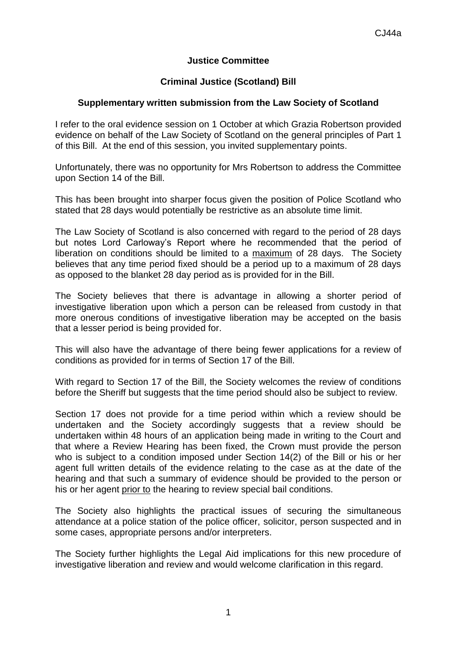## **Justice Committee**

## **Criminal Justice (Scotland) Bill**

## **Supplementary written submission from the Law Society of Scotland**

I refer to the oral evidence session on 1 October at which Grazia Robertson provided evidence on behalf of the Law Society of Scotland on the general principles of Part 1 of this Bill. At the end of this session, you invited supplementary points.

Unfortunately, there was no opportunity for Mrs Robertson to address the Committee upon Section 14 of the Bill.

This has been brought into sharper focus given the position of Police Scotland who stated that 28 days would potentially be restrictive as an absolute time limit.

The Law Society of Scotland is also concerned with regard to the period of 28 days but notes Lord Carloway's Report where he recommended that the period of liberation on conditions should be limited to a maximum of 28 days. The Society believes that any time period fixed should be a period up to a maximum of 28 days as opposed to the blanket 28 day period as is provided for in the Bill.

The Society believes that there is advantage in allowing a shorter period of investigative liberation upon which a person can be released from custody in that more onerous conditions of investigative liberation may be accepted on the basis that a lesser period is being provided for.

This will also have the advantage of there being fewer applications for a review of conditions as provided for in terms of Section 17 of the Bill.

With regard to Section 17 of the Bill, the Society welcomes the review of conditions before the Sheriff but suggests that the time period should also be subject to review.

Section 17 does not provide for a time period within which a review should be undertaken and the Society accordingly suggests that a review should be undertaken within 48 hours of an application being made in writing to the Court and that where a Review Hearing has been fixed, the Crown must provide the person who is subject to a condition imposed under Section 14(2) of the Bill or his or her agent full written details of the evidence relating to the case as at the date of the hearing and that such a summary of evidence should be provided to the person or his or her agent prior to the hearing to review special bail conditions.

The Society also highlights the practical issues of securing the simultaneous attendance at a police station of the police officer, solicitor, person suspected and in some cases, appropriate persons and/or interpreters.

The Society further highlights the Legal Aid implications for this new procedure of investigative liberation and review and would welcome clarification in this regard.